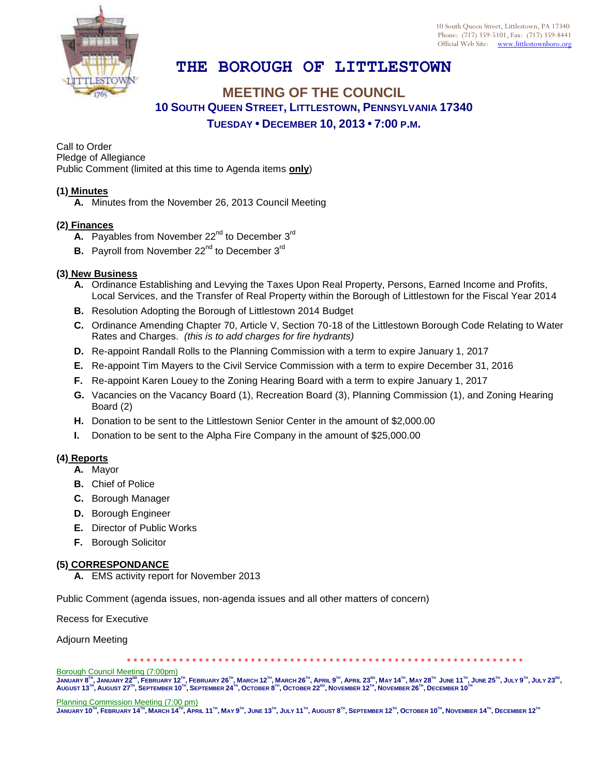

# **THE BOROUGH OF LITTLESTOWN**

## **MEETING OF THE COUNCIL 10 SOUTH QUEEN STREET, LITTLESTOWN, PENNSYLVANIA 17340 TUESDAY • DECEMBER 10, 2013 • 7:00 P.M.**

Call to Order Pledge of Allegiance Public Comment (limited at this time to Agenda items **only**)

#### **(1) Minutes**

**A.** Minutes from the November 26, 2013 Council Meeting

### **(2) Finances**

- **A.** Payables from November 22<sup>nd</sup> to December 3<sup>rd</sup>
- **B.** Payroll from November 22<sup>nd</sup> to December 3<sup>rd</sup>

#### **(3) New Business**

- **A.** Ordinance Establishing and Levying the Taxes Upon Real Property, Persons, Earned Income and Profits, Local Services, and the Transfer of Real Property within the Borough of Littlestown for the Fiscal Year 2014
- **B.** Resolution Adopting the Borough of Littlestown 2014 Budget
- **C.** Ordinance Amending Chapter 70, Article V, Section 70-18 of the Littlestown Borough Code Relating to Water Rates and Charges. *(this is to add charges for fire hydrants)*
- **D.** Re-appoint Randall Rolls to the Planning Commission with a term to expire January 1, 2017
- **E.** Re-appoint Tim Mayers to the Civil Service Commission with a term to expire December 31, 2016
- **F.** Re-appoint Karen Louey to the Zoning Hearing Board with a term to expire January 1, 2017
- **G.** Vacancies on the Vacancy Board (1), Recreation Board (3), Planning Commission (1), and Zoning Hearing Board (2)
- **H.** Donation to be sent to the Littlestown Senior Center in the amount of \$2,000.00
- **I.** Donation to be sent to the Alpha Fire Company in the amount of \$25,000.00

#### **(4) Reports**

- **A.** Mayor
- **B.** Chief of Police
- **C.** Borough Manager
- **D.** Borough Engineer
- **E.** Director of Public Works
- **F.** Borough Solicitor

#### **(5) CORRESPONDANCE**

**A.** EMS activity report for November 2013

Public Comment (agenda issues, non-agenda issues and all other matters of concern)

Recess for Executive

Adjourn Meeting

\* \* \* \* \* \* \* \* \* \* \* \* \* \* \* \* \* \* \* \* \* \* \* \* \* \* \* \* \* \* \* \* \* \* \* \* \* \* \* \* \* \* \* \* \* \* \* \* \* \* \* \* \* \* \* \* \* \* \* \* \*

Borough Council Meeting (7:00pm)

JANUARY 8™, JANUARY 22№, FEBRUARY 12™, FEBRUARY 26™, MARCH 12™, MARCH 26™, APRIL 9™, APRIL 23<sup>nd</sup>, MAY 14™, MAY 28™ JUNE 11™, JUNE 25™, JULY 9™, JULY 23<sup>nd</sup>,<br>August 13™, August 27™, September 10™, September 24™, October 8

Planning Commission Meeting (7:00 pm)

 ${\rm J}$ anuary 10 $^{\rm Ti}$ , February 14 $^{\rm Ti}$ , March 14 $^{\rm Ti}$ , April 11 $^{\rm Ti}$ , May 9 $^{\rm Ti}$ , June 13 $^{\rm Ti}$ , July 11 $^{\rm Ti}$ , August 8 $^{\rm Ti}$ , September 12 $^{\rm Ti}$ , October 10 $^{\rm Ti}$ , November 14 $^{\rm Ti}$ , December 12 $^{\rm Ti}$